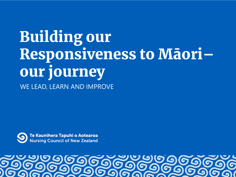# Building our Responsiveness to Māori– our journey WE LEAD, LEARN AND IMPROVE



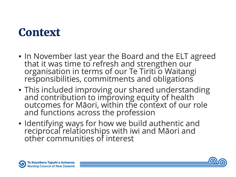#### **Context**

- In November last year the Board and the ELT agreed that it was time to refresh and strengthen our organisation in terms of our Te Tiriti o Waitangi responsibilities, commitments and obligations
- This included improving our shared understanding and contribution to improving equity of health outcomes for Māori, within the context of our role and functions across the profession
- Identifying ways for how we build authentic and reciprocal relationships with iwi and Māori and other communities of interest



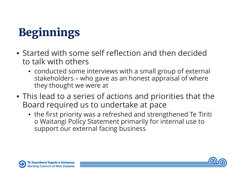# Beginnings

- Started with some self reflection and then decided to talk with others
	- conducted some interviews with a small group of external stakeholders – who gave as an honest appraisal of where they thought we were at
- This lead to a series of actions and priorities that the Board required us to undertake at pace
	- the first priority was a refreshed and strengthened Te Tiriti o Waitangi Policy Statement primarily for internal use to support our external facing business



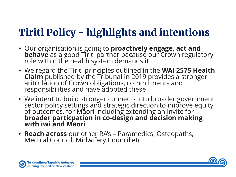### Tiriti Policy - highlights and intentions

- Our organisation is going to **proactively engage, act and behave** as a good Tiriti partner because our Crown regulatory role within the health system demands it
- We regard the Tiriti principles outlined in the **WAI 2575 Health Claim** published by the Tribunal in 2019 provides a stronger aritculation of Crown obligations, commitments and responsibilities and have adopted these
- We intent to build stronger connects into broader government sector policy settings and strategic direction to improve equity of outcomes, for Māori including extending an invite for **broader particpation in co-design and decision making with iwi and Māori**
- **Reach across** our other RA's Paramedics, Osteopaths, Medical Council, Midwifery Council etc



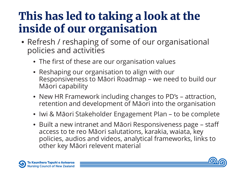## This has led to taking a look at the inside of our organisation

- Refresh / reshaping of some of our organisational policies and activities
	- The first of these are our organisation values
	- Reshaping our organisation to align with our Responsiveness to Māori Roadmap – we need to build our Māori capability
	- New HR Framework including changes to PD's attraction, retention and development of Māori into the organisation
	- Iwi & Māori Stakeholder Engagement Plan to be complete
	- Built a new intranet and Māori Responsiveness page staff access to te reo Māori salutations, karakia, waiata, key policies, audios and videos, analytical frameworks, links to other key Māori relevent material



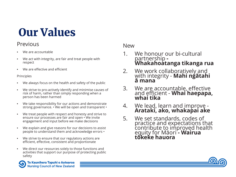## Our Values

#### **Previous**

- We are accountable
- We act with integrity, are fair and treat people with respect
- We are effective and efficient

#### Principles

- We always focus on the health and safety of the public
- We strive to pro-actively identify and minimise causes of risk of harm, rather than simply responding when a person has been harmed
- We take responsibility for our actions and demonstrate strong governance. • We will be open and transparent •
- We treat people with respect and honesty and strive to ensure our processes are fair and open • We invite engagement and input before we make decisions
- We explain and give reasons for our decisions to assist people to understand them and acknowledge errors •
- We strive to ensure that our regulatory actions are efficient, effective, consistent and proportionate
- We direct our resources solely to those functions and activities that support our purpose of protecting public safety

#### New

- 1. We honour our bi-cultural partnership **- Whakahoatanga tikanga rua**
- 2. We work collaboratively and with integrity - **Mahi ngātahi ā mana**
- 3. We are accountable, effective and efficient - **Whai haepapa, whai tika**
- 4. We lead, learn and improve **Arataki, ako, whakapai ake**
- 5. We set standards, codes of practice and expectations that contribute to improved health equity for Māori **- Wairua tōkeke hauora**